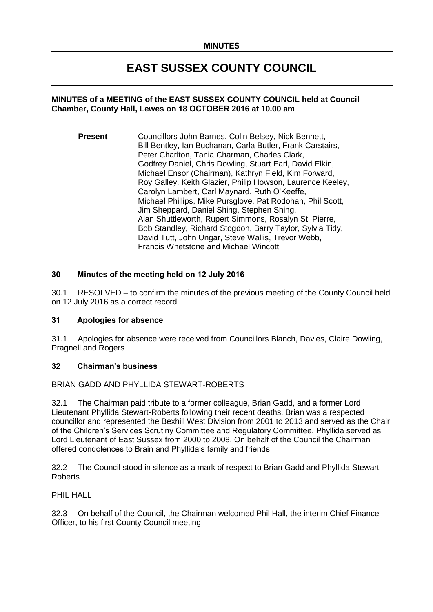# **EAST SUSSEX COUNTY COUNCIL**

### **MINUTES of a MEETING of the EAST SUSSEX COUNTY COUNCIL held at Council Chamber, County Hall, Lewes on 18 OCTOBER 2016 at 10.00 am**

**Present** Councillors John Barnes, Colin Belsey, Nick Bennett, Bill Bentley, Ian Buchanan, Carla Butler, Frank Carstairs, Peter Charlton, Tania Charman, Charles Clark, Godfrey Daniel, Chris Dowling, Stuart Earl, David Elkin, Michael Ensor (Chairman), Kathryn Field, Kim Forward, Roy Galley, Keith Glazier, Philip Howson, Laurence Keeley, Carolyn Lambert, Carl Maynard, Ruth O'Keeffe, Michael Phillips, Mike Pursglove, Pat Rodohan, Phil Scott, Jim Sheppard, Daniel Shing, Stephen Shing, Alan Shuttleworth, Rupert Simmons, Rosalyn St. Pierre, Bob Standley, Richard Stogdon, Barry Taylor, Sylvia Tidy, David Tutt, John Ungar, Steve Wallis, Trevor Webb, Francis Whetstone and Michael Wincott

# **30 Minutes of the meeting held on 12 July 2016**

30.1 RESOLVED – to confirm the minutes of the previous meeting of the County Council held on 12 July 2016 as a correct record

# **31 Apologies for absence**

31.1 Apologies for absence were received from Councillors Blanch, Davies, Claire Dowling, Pragnell and Rogers

#### **32 Chairman's business**

#### BRIAN GADD AND PHYLLIDA STEWART-ROBERTS

32.1 The Chairman paid tribute to a former colleague, Brian Gadd, and a former Lord Lieutenant Phyllida Stewart-Roberts following their recent deaths. Brian was a respected councillor and represented the Bexhill West Division from 2001 to 2013 and served as the Chair of the Children's Services Scrutiny Committee and Regulatory Committee. Phyllida served as Lord Lieutenant of East Sussex from 2000 to 2008. On behalf of the Council the Chairman offered condolences to Brain and Phyllida's family and friends.

32.2 The Council stood in silence as a mark of respect to Brian Gadd and Phyllida Stewart-Roberts

PHIL HALL

32.3 On behalf of the Council, the Chairman welcomed Phil Hall, the interim Chief Finance Officer, to his first County Council meeting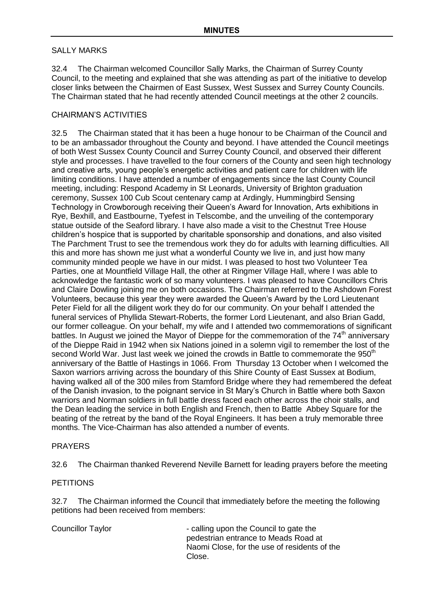#### SALLY MARKS

32.4 The Chairman welcomed Councillor Sally Marks, the Chairman of Surrey County Council, to the meeting and explained that she was attending as part of the initiative to develop closer links between the Chairmen of East Sussex, West Sussex and Surrey County Councils. The Chairman stated that he had recently attended Council meetings at the other 2 councils.

# CHAIRMAN'S ACTIVITIES

32.5 The Chairman stated that it has been a huge honour to be Chairman of the Council and to be an ambassador throughout the County and beyond. I have attended the Council meetings of both West Sussex County Council and Surrey County Council, and observed their different style and processes. I have travelled to the four corners of the County and seen high technology and creative arts, young people's energetic activities and patient care for children with life limiting conditions. I have attended a number of engagements since the last County Council meeting, including: Respond Academy in St Leonards, University of Brighton graduation ceremony, Sussex 100 Cub Scout centenary camp at Ardingly, Hummingbird Sensing Technology in Crowborough receiving their Queen's Award for Innovation, Arts exhibitions in Rye, Bexhill, and Eastbourne, Tyefest in Telscombe, and the unveiling of the contemporary statue outside of the Seaford library. I have also made a visit to the Chestnut Tree House children's hospice that is supported by charitable sponsorship and donations, and also visited The Parchment Trust to see the tremendous work they do for adults with learning difficulties. All this and more has shown me just what a wonderful County we live in, and just how many community minded people we have in our midst. I was pleased to host two Volunteer Tea Parties, one at Mountfield Village Hall, the other at Ringmer Village Hall, where I was able to acknowledge the fantastic work of so many volunteers. I was pleased to have Councillors Chris and Claire Dowling joining me on both occasions. The Chairman referred to the Ashdown Forest Volunteers, because this year they were awarded the Queen's Award by the Lord Lieutenant Peter Field for all the diligent work they do for our community. On your behalf I attended the funeral services of Phyllida Stewart-Roberts, the former Lord Lieutenant, and also Brian Gadd, our former colleague. On your behalf, my wife and I attended two commemorations of significant battles. In August we joined the Mayor of Dieppe for the commemoration of the  $74<sup>th</sup>$  anniversary of the Dieppe Raid in 1942 when six Nations joined in a solemn vigil to remember the lost of the second World War. Just last week we joined the crowds in Battle to commemorate the 950<sup>th</sup> anniversary of the Battle of Hastings in 1066. From Thursday 13 October when I welcomed the Saxon warriors arriving across the boundary of this Shire County of East Sussex at Bodium, having walked all of the 300 miles from Stamford Bridge where they had remembered the defeat of the Danish invasion, to the poignant service in St Mary's Church in Battle where both Saxon warriors and Norman soldiers in full battle dress faced each other across the choir stalls, and the Dean leading the service in both English and French, then to Battle Abbey Square for the beating of the retreat by the band of the Royal Engineers. It has been a truly memorable three months. The Vice-Chairman has also attended a number of events.

#### PRAYERS

32.6 The Chairman thanked Reverend Neville Barnett for leading prayers before the meeting

#### **PETITIONS**

32.7 The Chairman informed the Council that immediately before the meeting the following petitions had been received from members:

Councillor Taylor **Councillor** - calling upon the Council to gate the pedestrian entrance to Meads Road at Naomi Close, for the use of residents of the Close.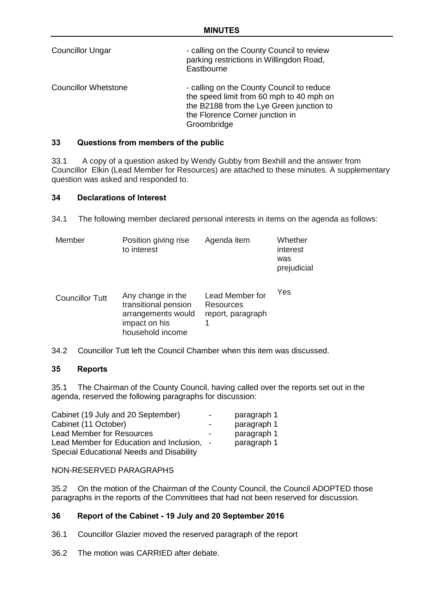| <b>Councillor Ungar</b>     | - calling on the County Council to review<br>parking restrictions in Willingdon Road,<br>Eastbourne                                                                                 |
|-----------------------------|-------------------------------------------------------------------------------------------------------------------------------------------------------------------------------------|
| <b>Councillor Whetstone</b> | - calling on the County Council to reduce<br>the speed limit from 60 mph to 40 mph on<br>the B2188 from the Lye Green junction to<br>the Florence Corner junction in<br>Groombridge |

# **33 Questions from members of the public**

33.1 A copy of a question asked by Wendy Gubby from Bexhill and the answer from Councillor Elkin (Lead Member for Resources) are attached to these minutes. A supplementary question was asked and responded to.

#### **34 Declarations of Interest**

34.1 The following member declared personal interests in items on the agenda as follows:

| Member | Position giving rise<br>to interest | Agenda item | Whether<br>interest<br>was<br>prejudicial |
|--------|-------------------------------------|-------------|-------------------------------------------|
|        |                                     |             |                                           |

| <b>Councillor Tutt</b> | Any change in the<br>transitional pension<br>arrangements would<br>impact on his<br>household income | Lead Member for<br>Resources<br>report, paragraph | Yes |
|------------------------|------------------------------------------------------------------------------------------------------|---------------------------------------------------|-----|
|------------------------|------------------------------------------------------------------------------------------------------|---------------------------------------------------|-----|

34.2 Councillor Tutt left the Council Chamber when this item was discussed.

#### **35 Reports**

35.1 The Chairman of the County Council, having called over the reports set out in the agenda, reserved the following paragraphs for discussion:

| Cabinet (19 July and 20 September)         | - | paragraph 1 |
|--------------------------------------------|---|-------------|
| Cabinet (11 October)                       | - | paragraph 1 |
| <b>Lead Member for Resources</b>           | - | paragraph 1 |
| Lead Member for Education and Inclusion, - |   | paragraph 1 |
| Special Educational Needs and Disability   |   |             |

#### NON-RESERVED PARAGRAPHS

35.2 On the motion of the Chairman of the County Council, the Council ADOPTED those paragraphs in the reports of the Committees that had not been reserved for discussion.

# **36 Report of the Cabinet - 19 July and 20 September 2016**

- 36.1 Councillor Glazier moved the reserved paragraph of the report
- 36.2 The motion was CARRIED after debate.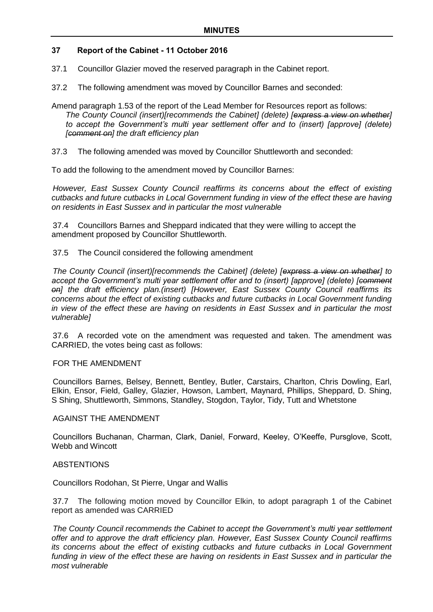# **37 Report of the Cabinet - 11 October 2016**

- 37.1 Councillor Glazier moved the reserved paragraph in the Cabinet report.
- 37.2 The following amendment was moved by Councillor Barnes and seconded:
- Amend paragraph 1.53 of the report of the Lead Member for Resources report as follows: *The County Council (insert)[recommends the Cabinet] (delete) [express a view on whether] to accept the Government's multi year settlement offer and to (insert) [approve] (delete) [comment on] the draft efficiency plan*
- 37.3 The following amended was moved by Councillor Shuttleworth and seconded:

To add the following to the amendment moved by Councillor Barnes:

*However, East Sussex County Council reaffirms its concerns about the effect of existing cutbacks and future cutbacks in Local Government funding in view of the effect these are having on residents in East Sussex and in particular the most vulnerable*

37.4 Councillors Barnes and Sheppard indicated that they were willing to accept the amendment proposed by Councillor Shuttleworth.

#### 37.5 The Council considered the following amendment

*The County Council (insert)[recommends the Cabinet] (delete) [express a view on whether] to accept the Government's multi year settlement offer and to (insert) [approve] (delete) [comment on] the draft efficiency plan.(insert) [However, East Sussex County Council reaffirms its concerns about the effect of existing cutbacks and future cutbacks in Local Government funding in view of the effect these are having on residents in East Sussex and in particular the most vulnerable]*

37.6 A recorded vote on the amendment was requested and taken. The amendment was CARRIED, the votes being cast as follows:

#### FOR THE AMENDMENT

Councillors Barnes, Belsey, Bennett, Bentley, Butler, Carstairs, Charlton, Chris Dowling, Earl, Elkin, Ensor, Field, Galley, Glazier, Howson, Lambert, Maynard, Phillips, Sheppard, D. Shing, S Shing, Shuttleworth, Simmons, Standley, Stogdon, Taylor, Tidy, Tutt and Whetstone

#### AGAINST THE AMENDMENT

Councillors Buchanan, Charman, Clark, Daniel, Forward, Keeley, O'Keeffe, Pursglove, Scott, Webb and Wincott

#### **ABSTENTIONS**

Councillors Rodohan, St Pierre, Ungar and Wallis

37.7 The following motion moved by Councillor Elkin, to adopt paragraph 1 of the Cabinet report as amended was CARRIED

*The County Council recommends the Cabinet to accept the Government's multi year settlement offer and to approve the draft efficiency plan. However, East Sussex County Council reaffirms its concerns about the effect of existing cutbacks and future cutbacks in Local Government*  funding in view of the effect these are having on residents in East Sussex and in particular the *most vulnerable*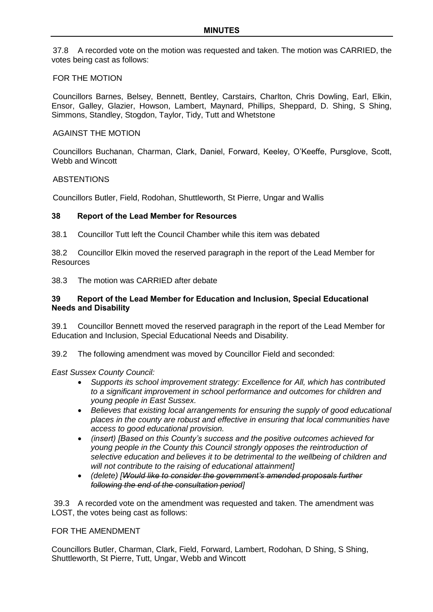37.8 A recorded vote on the motion was requested and taken. The motion was CARRIED, the votes being cast as follows:

#### FOR THE MOTION

Councillors Barnes, Belsey, Bennett, Bentley, Carstairs, Charlton, Chris Dowling, Earl, Elkin, Ensor, Galley, Glazier, Howson, Lambert, Maynard, Phillips, Sheppard, D. Shing, S Shing, Simmons, Standley, Stogdon, Taylor, Tidy, Tutt and Whetstone

# AGAINST THE MOTION

Councillors Buchanan, Charman, Clark, Daniel, Forward, Keeley, O'Keeffe, Pursglove, Scott, Webb and Wincott

#### **ABSTENTIONS**

Councillors Butler, Field, Rodohan, Shuttleworth, St Pierre, Ungar and Wallis

#### **38 Report of the Lead Member for Resources**

38.1 Councillor Tutt left the Council Chamber while this item was debated

38.2 Councillor Elkin moved the reserved paragraph in the report of the Lead Member for **Resources** 

38.3 The motion was CARRIED after debate

### **39 Report of the Lead Member for Education and Inclusion, Special Educational Needs and Disability**

39.1 Councillor Bennett moved the reserved paragraph in the report of the Lead Member for Education and Inclusion, Special Educational Needs and Disability.

39.2 The following amendment was moved by Councillor Field and seconded:

# *East Sussex County Council:*

- *Supports its school improvement strategy: Excellence for All, which has contributed to a significant improvement in school performance and outcomes for children and young people in East Sussex.*
- *Believes that existing local arrangements for ensuring the supply of good educational places in the county are robust and effective in ensuring that local communities have access to good educational provision.*
- *(insert) [Based on this County's success and the positive outcomes achieved for young people in the County this Council strongly opposes the reintroduction of selective education and believes it to be detrimental to the wellbeing of children and will not contribute to the raising of educational attainment]*
- *(delete) [Would like to consider the government's amended proposals further following the end of the consultation period]*

39.3 A recorded vote on the amendment was requested and taken. The amendment was LOST, the votes being cast as follows:

#### FOR THE AMENDMENT

Councillors Butler, Charman, Clark, Field, Forward, Lambert, Rodohan, D Shing, S Shing, Shuttleworth, St Pierre, Tutt, Ungar, Webb and Wincott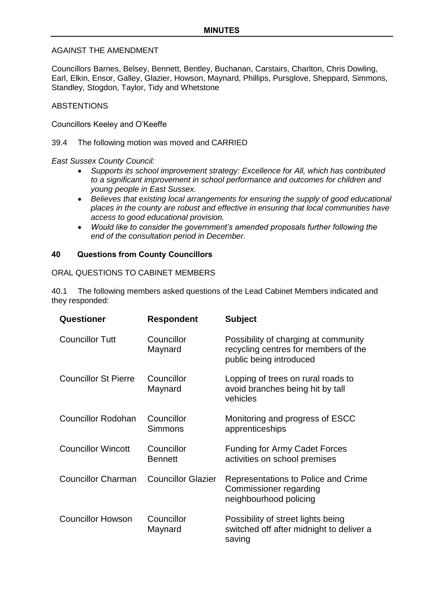### AGAINST THE AMENDMENT

Councillors Barnes, Belsey, Bennett, Bentley, Buchanan, Carstairs, Charlton, Chris Dowling, Earl, Elkin, Ensor, Galley, Glazier, Howson, Maynard, Phillips, Pursglove, Sheppard, Simmons, Standley, Stogdon, Taylor, Tidy and Whetstone

#### **ABSTENTIONS**

Councillors Keeley and O'Keeffe

39.4 The following motion was moved and CARRIED

#### *East Sussex County Council:*

- *Supports its school improvement strategy: Excellence for All, which has contributed to a significant improvement in school performance and outcomes for children and young people in East Sussex.*
- *Believes that existing local arrangements for ensuring the supply of good educational places in the county are robust and effective in ensuring that local communities have access to good educational provision.*
- *Would like to consider the government's amended proposals further following the end of the consultation period in December.*

#### **40 Questions from County Councillors**

#### ORAL QUESTIONS TO CABINET MEMBERS

40.1 The following members asked questions of the Lead Cabinet Members indicated and they responded:

| Questioner                  | <b>Respondent</b>            | <b>Subject</b>                                                                                          |
|-----------------------------|------------------------------|---------------------------------------------------------------------------------------------------------|
| <b>Councillor Tutt</b>      | Councillor<br>Maynard        | Possibility of charging at community<br>recycling centres for members of the<br>public being introduced |
| <b>Councillor St Pierre</b> | Councillor<br>Maynard        | Lopping of trees on rural roads to<br>avoid branches being hit by tall<br>vehicles                      |
| <b>Councillor Rodohan</b>   | Councillor<br>Simmons        | Monitoring and progress of ESCC<br>apprenticeships                                                      |
| <b>Councillor Wincott</b>   | Councillor<br><b>Bennett</b> | <b>Funding for Army Cadet Forces</b><br>activities on school premises                                   |
| <b>Councillor Charman</b>   | <b>Councillor Glazier</b>    | Representations to Police and Crime<br><b>Commissioner regarding</b><br>neighbourhood policing          |
| <b>Councillor Howson</b>    | Councillor<br>Maynard        | Possibility of street lights being<br>switched off after midnight to deliver a<br>saving                |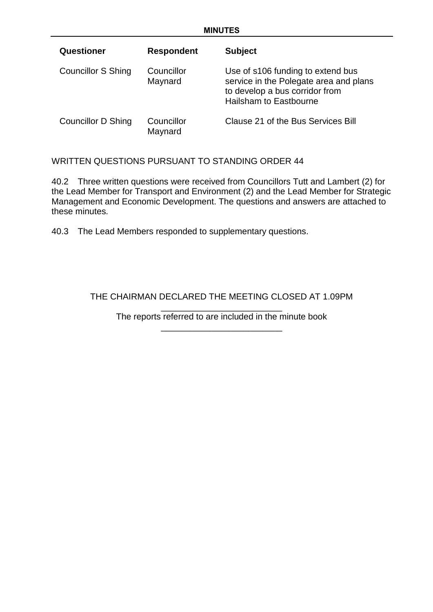| Questioner                | <b>Respondent</b>     | <b>Subject</b>                                                                                                                                 |
|---------------------------|-----------------------|------------------------------------------------------------------------------------------------------------------------------------------------|
| <b>Councillor S Shing</b> | Councillor<br>Maynard | Use of s106 funding to extend bus<br>service in the Polegate area and plans<br>to develop a bus corridor from<br><b>Hailsham to Eastbourne</b> |
| <b>Councillor D Shing</b> | Councillor<br>Maynard | Clause 21 of the Bus Services Bill                                                                                                             |

# WRITTEN QUESTIONS PURSUANT TO STANDING ORDER 44

40.2 Three written questions were received from Councillors Tutt and Lambert (2) for the Lead Member for Transport and Environment (2) and the Lead Member for Strategic Management and Economic Development. The questions and answers are attached to these minutes.

40.3 The Lead Members responded to supplementary questions.

# THE CHAIRMAN DECLARED THE MEETING CLOSED AT 1.09PM

\_\_\_\_\_\_\_\_\_\_\_\_\_\_\_\_\_\_\_\_\_\_\_\_\_ The reports referred to are included in the minute book \_\_\_\_\_\_\_\_\_\_\_\_\_\_\_\_\_\_\_\_\_\_\_\_\_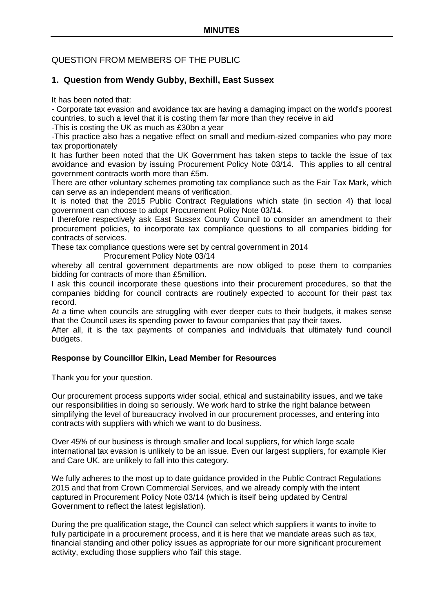# QUESTION FROM MEMBERS OF THE PUBLIC

# **1. Question from Wendy Gubby, Bexhill, East Sussex**

It has been noted that:

- Corporate tax evasion and avoidance tax are having a damaging impact on the world's poorest countries, to such a level that it is costing them far more than they receive in aid

-This is costing the UK as much as £30bn a year

-This practice also has a negative effect on small and medium-sized companies who pay more tax proportionately

It has further been noted that the UK Government has taken steps to tackle the issue of tax avoidance and evasion by issuing Procurement Policy Note 03/14. This applies to all central government contracts worth more than £5m.

There are other voluntary schemes promoting tax compliance such as the Fair Tax Mark, which can serve as an independent means of verification.

It is noted that the 2015 Public Contract Regulations which state (in section 4) that local government can choose to adopt Procurement Policy Note 03/14.

I therefore respectively ask East Sussex County Council to consider an amendment to their procurement policies, to incorporate tax compliance questions to all companies bidding for contracts of services.

These tax compliance questions were set by central government in 2014

Procurement Policy Note 03/14

whereby all central government departments are now obliged to pose them to companies bidding for contracts of more than £5million.

I ask this council incorporate these questions into their procurement procedures, so that the companies bidding for council contracts are routinely expected to account for their past tax record.

At a time when councils are struggling with ever deeper cuts to their budgets, it makes sense that the Council uses its spending power to favour companies that pay their taxes.

After all, it is the tax payments of companies and individuals that ultimately fund council budgets.

# **Response by Councillor Elkin, Lead Member for Resources**

Thank you for your question.

Our procurement process supports wider social, ethical and sustainability issues, and we take our responsibilities in doing so seriously. We work hard to strike the right balance between simplifying the level of bureaucracy involved in our procurement processes, and entering into contracts with suppliers with which we want to do business.

Over 45% of our business is through smaller and local suppliers, for which large scale international tax evasion is unlikely to be an issue. Even our largest suppliers, for example Kier and Care UK, are unlikely to fall into this category.

We fully adheres to the most up to date guidance provided in the Public Contract Regulations 2015 and that from Crown Commercial Services, and we already comply with the intent captured in Procurement Policy Note 03/14 (which is itself being updated by Central Government to reflect the latest legislation).

During the pre qualification stage, the Council can select which suppliers it wants to invite to fully participate in a procurement process, and it is here that we mandate areas such as tax, financial standing and other policy issues as appropriate for our more significant procurement activity, excluding those suppliers who 'fail' this stage.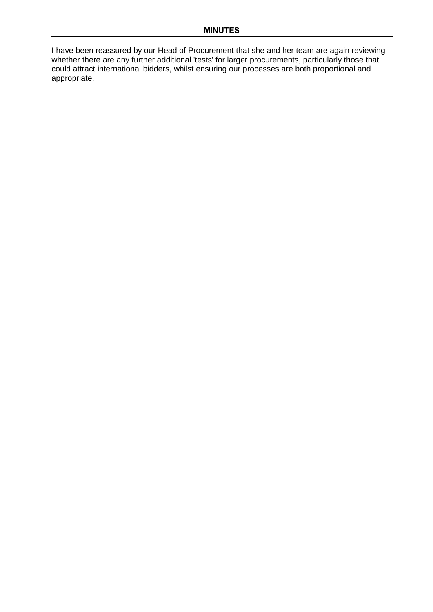I have been reassured by our Head of Procurement that she and her team are again reviewing whether there are any further additional 'tests' for larger procurements, particularly those that could attract international bidders, whilst ensuring our processes are both proportional and appropriate.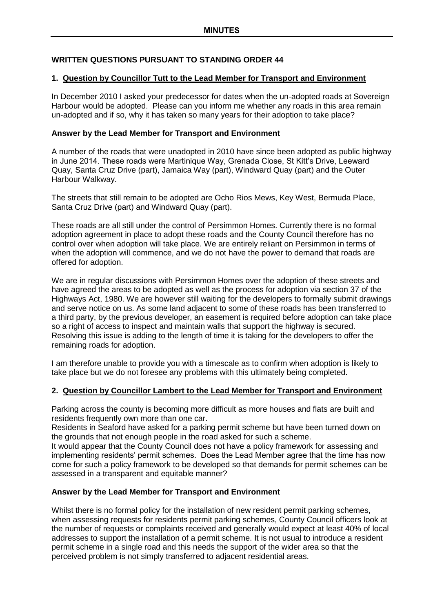# **WRITTEN QUESTIONS PURSUANT TO STANDING ORDER 44**

### **1. Question by Councillor Tutt to the Lead Member for Transport and Environment**

In December 2010 I asked your predecessor for dates when the un-adopted roads at Sovereign Harbour would be adopted. Please can you inform me whether any roads in this area remain un-adopted and if so, why it has taken so many years for their adoption to take place?

#### **Answer by the Lead Member for Transport and Environment**

A number of the roads that were unadopted in 2010 have since been adopted as public highway in June 2014. These roads were Martinique Way, Grenada Close, St Kitt's Drive, Leeward Quay, Santa Cruz Drive (part), Jamaica Way (part), Windward Quay (part) and the Outer Harbour Walkway.

The streets that still remain to be adopted are Ocho Rios Mews, Key West, Bermuda Place, Santa Cruz Drive (part) and Windward Quay (part).

These roads are all still under the control of Persimmon Homes. Currently there is no formal adoption agreement in place to adopt these roads and the County Council therefore has no control over when adoption will take place. We are entirely reliant on Persimmon in terms of when the adoption will commence, and we do not have the power to demand that roads are offered for adoption.

We are in regular discussions with Persimmon Homes over the adoption of these streets and have agreed the areas to be adopted as well as the process for adoption via section 37 of the Highways Act, 1980. We are however still waiting for the developers to formally submit drawings and serve notice on us. As some land adjacent to some of these roads has been transferred to a third party, by the previous developer, an easement is required before adoption can take place so a right of access to inspect and maintain walls that support the highway is secured. Resolving this issue is adding to the length of time it is taking for the developers to offer the remaining roads for adoption.

I am therefore unable to provide you with a timescale as to confirm when adoption is likely to take place but we do not foresee any problems with this ultimately being completed.

# **2. Question by Councillor Lambert to the Lead Member for Transport and Environment**

Parking across the county is becoming more difficult as more houses and flats are built and residents frequently own more than one car.

Residents in Seaford have asked for a parking permit scheme but have been turned down on the grounds that not enough people in the road asked for such a scheme.

It would appear that the County Council does not have a policy framework for assessing and implementing residents' permit schemes. Does the Lead Member agree that the time has now come for such a policy framework to be developed so that demands for permit schemes can be assessed in a transparent and equitable manner?

# **Answer by the Lead Member for Transport and Environment**

Whilst there is no formal policy for the installation of new resident permit parking schemes, when assessing requests for residents permit parking schemes, County Council officers look at the number of requests or complaints received and generally would expect at least 40% of local addresses to support the installation of a permit scheme. It is not usual to introduce a resident permit scheme in a single road and this needs the support of the wider area so that the perceived problem is not simply transferred to adjacent residential areas.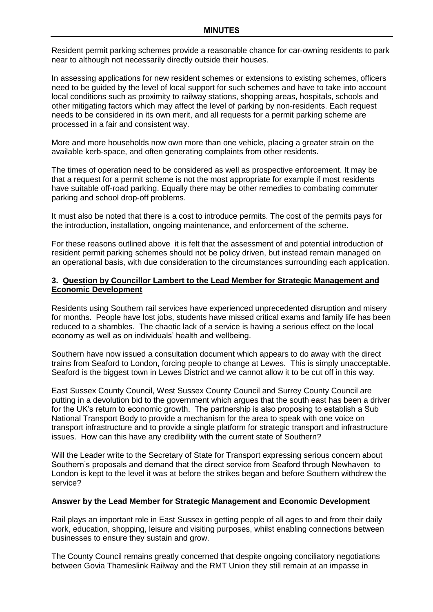Resident permit parking schemes provide a reasonable chance for car-owning residents to park near to although not necessarily directly outside their houses.

In assessing applications for new resident schemes or extensions to existing schemes, officers need to be guided by the level of local support for such schemes and have to take into account local conditions such as proximity to railway stations, shopping areas, hospitals, schools and other mitigating factors which may affect the level of parking by non-residents. Each request needs to be considered in its own merit, and all requests for a permit parking scheme are processed in a fair and consistent way.

More and more households now own more than one vehicle, placing a greater strain on the available kerb-space, and often generating complaints from other residents.

The times of operation need to be considered as well as prospective enforcement. It may be that a request for a permit scheme is not the most appropriate for example if most residents have suitable off-road parking. Equally there may be other remedies to combating commuter parking and school drop-off problems.

It must also be noted that there is a cost to introduce permits. The cost of the permits pays for the introduction, installation, ongoing maintenance, and enforcement of the scheme.

For these reasons outlined above it is felt that the assessment of and potential introduction of resident permit parking schemes should not be policy driven, but instead remain managed on an operational basis, with due consideration to the circumstances surrounding each application.

#### **3. Question by Councillor Lambert to the Lead Member for Strategic Management and Economic Development**

Residents using Southern rail services have experienced unprecedented disruption and misery for months. People have lost jobs, students have missed critical exams and family life has been reduced to a shambles. The chaotic lack of a service is having a serious effect on the local economy as well as on individuals' health and wellbeing.

Southern have now issued a consultation document which appears to do away with the direct trains from Seaford to London, forcing people to change at Lewes. This is simply unacceptable. Seaford is the biggest town in Lewes District and we cannot allow it to be cut off in this way.

East Sussex County Council, West Sussex County Council and Surrey County Council are putting in a devolution bid to the government which argues that the south east has been a driver for the UK's return to economic growth. The partnership is also proposing to establish a Sub National Transport Body to provide a mechanism for the area to speak with one voice on transport infrastructure and to provide a single platform for strategic transport and infrastructure issues. How can this have any credibility with the current state of Southern?

Will the Leader write to the Secretary of State for Transport expressing serious concern about Southern's proposals and demand that the direct service from Seaford through Newhaven to London is kept to the level it was at before the strikes began and before Southern withdrew the service?

#### **Answer by the Lead Member for Strategic Management and Economic Development**

Rail plays an important role in East Sussex in getting people of all ages to and from their daily work, education, shopping, leisure and visiting purposes, whilst enabling connections between businesses to ensure they sustain and grow.

The County Council remains greatly concerned that despite ongoing conciliatory negotiations between Govia Thameslink Railway and the RMT Union they still remain at an impasse in